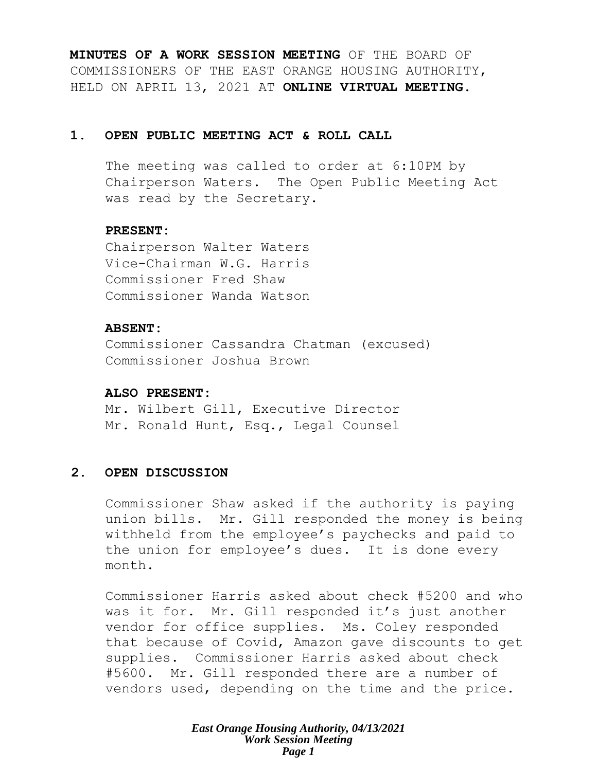**MINUTES OF A WORK SESSION MEETING** OF THE BOARD OF COMMISSIONERS OF THE EAST ORANGE HOUSING AUTHORITY, HELD ON APRIL 13, 2021 AT **ONLINE VIRTUAL MEETING**.

## **1. OPEN PUBLIC MEETING ACT & ROLL CALL**

The meeting was called to order at 6:10PM by Chairperson Waters. The Open Public Meeting Act was read by the Secretary.

## **PRESENT:**

Chairperson Walter Waters Vice-Chairman W.G. Harris Commissioner Fred Shaw Commissioner Wanda Watson

#### **ABSENT:**

Commissioner Cassandra Chatman (excused) Commissioner Joshua Brown

#### **ALSO PRESENT:**

Mr. Wilbert Gill, Executive Director Mr. Ronald Hunt, Esq., Legal Counsel

# **2. OPEN DISCUSSION**

Commissioner Shaw asked if the authority is paying union bills. Mr. Gill responded the money is being withheld from the employee's paychecks and paid to the union for employee's dues. It is done every month.

Commissioner Harris asked about check #5200 and who was it for. Mr. Gill responded it's just another vendor for office supplies. Ms. Coley responded that because of Covid, Amazon gave discounts to get supplies. Commissioner Harris asked about check #5600. Mr. Gill responded there are a number of vendors used, depending on the time and the price.

> *East Orange Housing Authority, 04/13/2021 Work Session Meeting Page 1*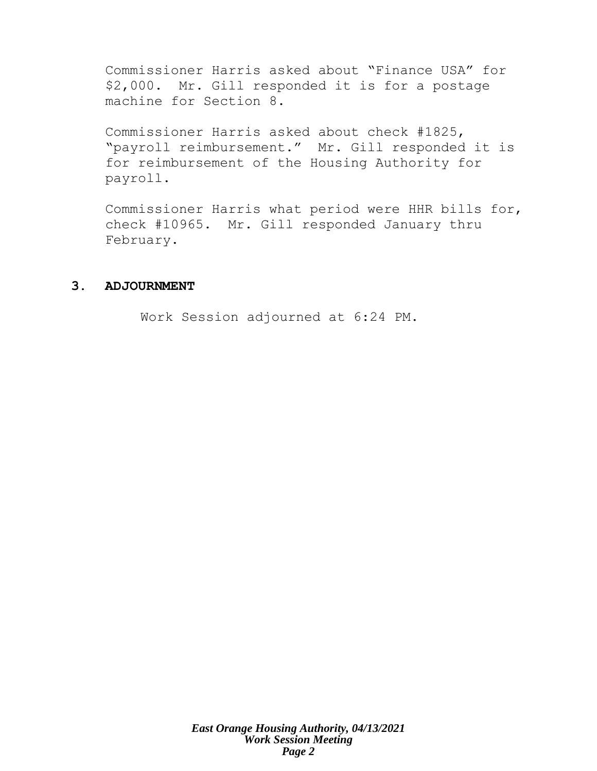Commissioner Harris asked about "Finance USA" for \$2,000. Mr. Gill responded it is for a postage machine for Section 8.

Commissioner Harris asked about check #1825, "payroll reimbursement." Mr. Gill responded it is for reimbursement of the Housing Authority for payroll.

Commissioner Harris what period were HHR bills for, check #10965. Mr. Gill responded January thru February.

## **3. ADJOURNMENT**

Work Session adjourned at 6:24 PM.

*East Orange Housing Authority, 04/13/2021 Work Session Meeting Page 2*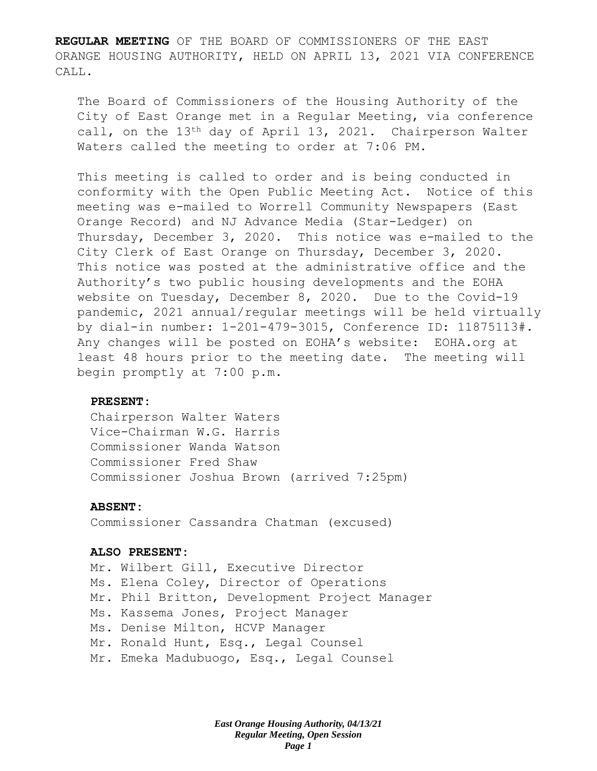**REGULAR MEETING** OF THE BOARD OF COMMISSIONERS OF THE EAST ORANGE HOUSING AUTHORITY, HELD ON APRIL 13, 2021 VIA CONFERENCE CALL.

The Board of Commissioners of the Housing Authority of the City of East Orange met in a Regular Meeting, via conference call, on the 13th day of April 13, 2021. Chairperson Walter Waters called the meeting to order at 7:06 PM.

This meeting is called to order and is being conducted in conformity with the Open Public Meeting Act. Notice of this meeting was e-mailed to Worrell Community Newspapers (East Orange Record) and NJ Advance Media (Star-Ledger) on Thursday, December 3, 2020. This notice was e-mailed to the City Clerk of East Orange on Thursday, December 3, 2020. This notice was posted at the administrative office and the Authority's two public housing developments and the EOHA website on Tuesday, December 8, 2020. Due to the Covid-19 pandemic, 2021 annual/regular meetings will be held virtually by dial-in number: 1-201-479-3015, Conference ID: 11875113#. Any changes will be posted on EOHA's website: EOHA.org at least 48 hours prior to the meeting date. The meeting will begin promptly at 7:00 p.m.

#### **PRESENT:**

Chairperson Walter Waters Vice-Chairman W.G. Harris Commissioner Wanda Watson Commissioner Fred Shaw Commissioner Joshua Brown (arrived 7:25pm)

#### **ABSENT:**

Commissioner Cassandra Chatman (excused)

#### **ALSO PRESENT:**

Mr. Wilbert Gill, Executive Director Ms. Elena Coley, Director of Operations Mr. Phil Britton, Development Project Manager Ms. Kassema Jones, Project Manager Ms. Denise Milton, HCVP Manager Mr. Ronald Hunt, Esq., Legal Counsel Mr. Emeka Madubuogo, Esq., Legal Counsel

> *East Orange Housing Authority, 04/13/21 Regular Meeting, Open Session Page 1*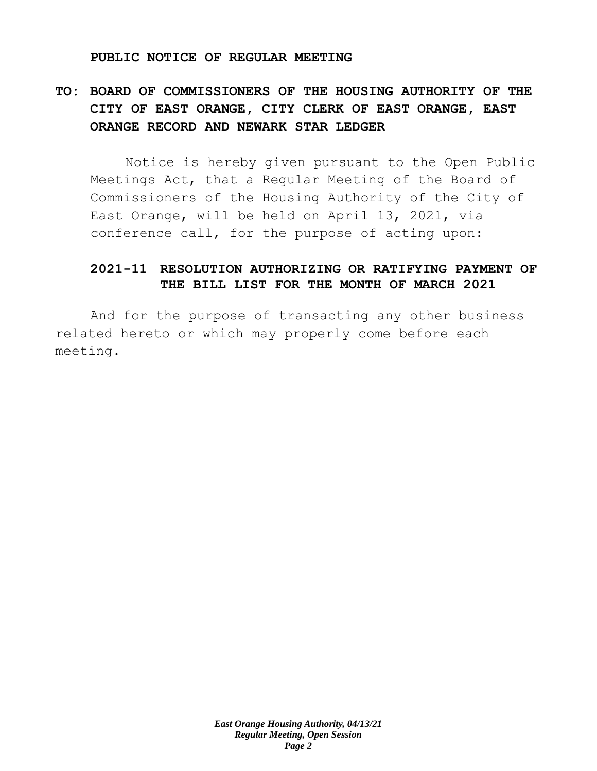#### **PUBLIC NOTICE OF REGULAR MEETING**

# **TO: BOARD OF COMMISSIONERS OF THE HOUSING AUTHORITY OF THE CITY OF EAST ORANGE, CITY CLERK OF EAST ORANGE, EAST ORANGE RECORD AND NEWARK STAR LEDGER**

Notice is hereby given pursuant to the Open Public Meetings Act, that a Regular Meeting of the Board of Commissioners of the Housing Authority of the City of East Orange, will be held on April 13, 2021, via conference call, for the purpose of acting upon:

# **2021-11 RESOLUTION AUTHORIZING OR RATIFYING PAYMENT OF THE BILL LIST FOR THE MONTH OF MARCH 2021**

And for the purpose of transacting any other business related hereto or which may properly come before each meeting.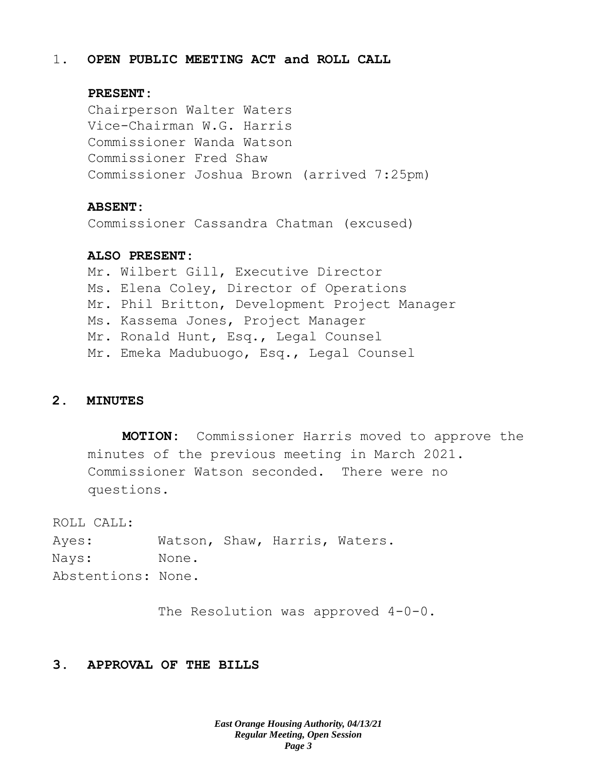#### 1. **OPEN PUBLIC MEETING ACT and ROLL CALL**

#### **PRESENT:**

Chairperson Walter Waters Vice-Chairman W.G. Harris Commissioner Wanda Watson Commissioner Fred Shaw Commissioner Joshua Brown (arrived 7:25pm)

#### **ABSENT:**

Commissioner Cassandra Chatman (excused)

#### **ALSO PRESENT:**

Mr. Wilbert Gill, Executive Director Ms. Elena Coley, Director of Operations Mr. Phil Britton, Development Project Manager Ms. Kassema Jones, Project Manager Mr. Ronald Hunt, Esq., Legal Counsel Mr. Emeka Madubuogo, Esq., Legal Counsel

#### **2. MINUTES**

**MOTION:** Commissioner Harris moved to approve the minutes of the previous meeting in March 2021. Commissioner Watson seconded. There were no questions.

ROLL CALL:

Ayes: Watson, Shaw, Harris, Waters. Nays: None. Abstentions: None.

The Resolution was approved 4-0-0.

# **3. APPROVAL OF THE BILLS**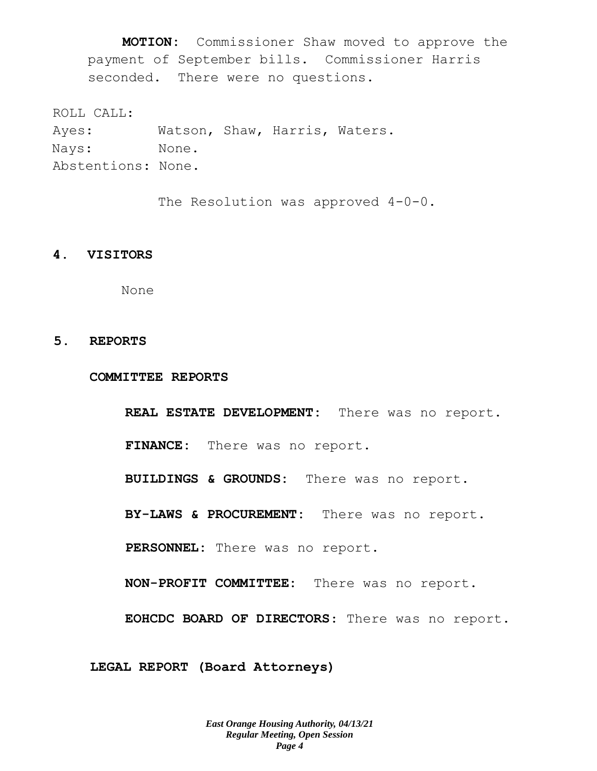**MOTION:** Commissioner Shaw moved to approve the payment of September bills. Commissioner Harris seconded. There were no questions.

ROLL CALL:

Ayes: Watson, Shaw, Harris, Waters. Nays: None. Abstentions: None.

The Resolution was approved 4-0-0.

#### **4. VISITORS**

None

#### **5. REPORTS**

**COMMITTEE REPORTS**

**REAL ESTATE DEVELOPMENT:** There was no report. **FINANCE:** There was no report. **BUILDINGS & GROUNDS:** There was no report. **BY-LAWS & PROCUREMENT:** There was no report. **PERSONNEL:** There was no report. **NON-PROFIT COMMITTEE:** There was no report. **EOHCDC BOARD OF DIRECTORS**: There was no report.

**LEGAL REPORT (Board Attorneys)**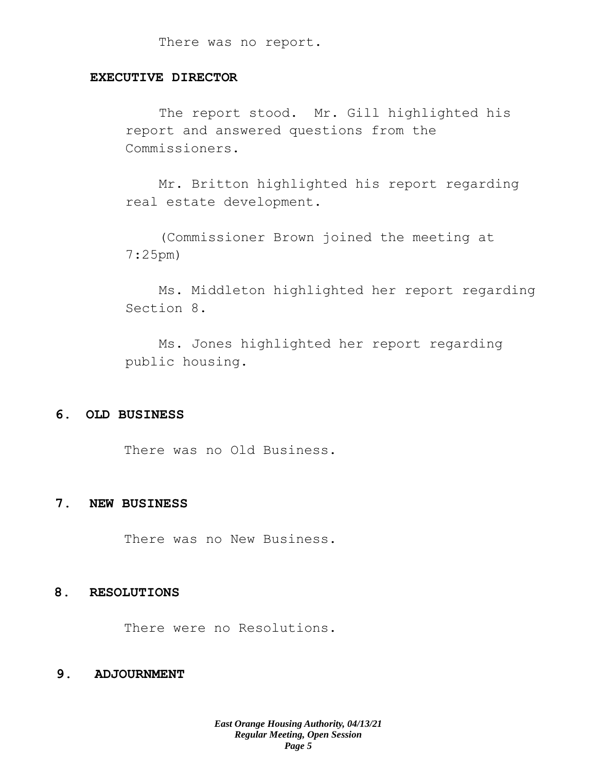There was no report.

## **EXECUTIVE DIRECTOR**

The report stood. Mr. Gill highlighted his report and answered questions from the Commissioners.

Mr. Britton highlighted his report regarding real estate development.

(Commissioner Brown joined the meeting at 7:25pm)

Ms. Middleton highlighted her report regarding Section 8.

Ms. Jones highlighted her report regarding public housing.

### **6. OLD BUSINESS**

There was no Old Business.

#### **7. NEW BUSINESS**

There was no New Business.

#### **8. RESOLUTIONS**

There were no Resolutions.

## **9. ADJOURNMENT**